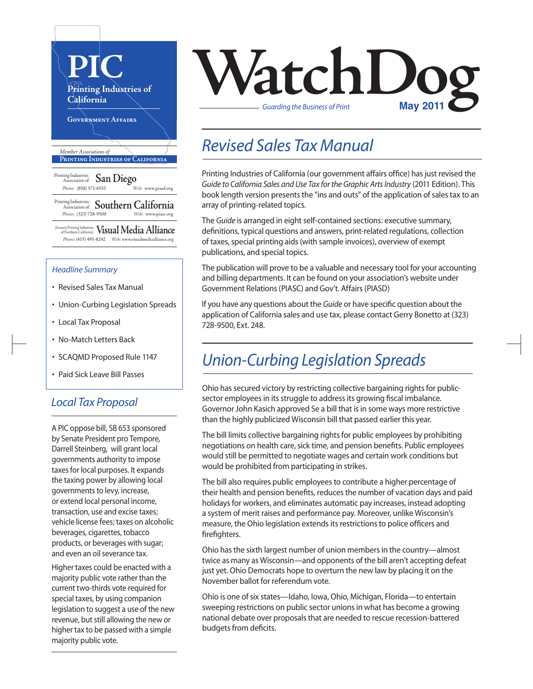

- Union-Curbing Legislation Spreads
- Local Tax Proposal
- No-Match Letters Back
- SCAQMD Proposed Rule 1147
- Paid Sick Leave Bill Passes

#### *Local Tax Proposal*

A PIC oppose bill, SB 653 sponsored by Senate President pro Tempore, Darrell Steinberg, will grant local governments authority to impose taxes for local purposes. It expands the taxing power by allowing local governments to levy, increase, or extend local personal income, transaction, use and excise taxes; vehicle license fees; taxes on alcoholic beverages, cigarettes, tobacco products, or beverages with sugar; and even an oil severance tax.

Higher taxes could be enacted with a majority public vote rather than the current two-thirds vote required for special taxes, by using companion legislation to suggest a use of the new revenue, but still allowing the new or higher tax to be passed with a simple majority public vote.



#### *Revised Sales Tax Manual*

Printing Industries of California (our government affairs office) has just revised the *Guide to California Sales and Use Tax for the Graphic Arts Industry* (2011 Edition). This book length version presents the "ins and outs" of the application of sales tax to an array of printing-related topics.

The *Guide* is arranged in eight self-contained sections: executive summary, definitions, typical questions and answers, print-related regulations, collection of taxes, special printing aids (with sample invoices), overview of exempt publications, and special topics.

The publication will prove to be a valuable and necessary tool for your accounting and billing departments. It can be found on your association's website under Government Relations(PIASC) and Gov't. Affairs(PIASD)

If you have any questions about the *Guide* or have specific question about the application of California sales and use tax, please contact Gerry Bonetto at (323) 728-9500, Ext. 248.

## *Union-Curbing Legislation Spreads*

Ohio has secured victory by restricting collective bargaining rights for publicsector employees in its struggle to address its growing fiscal imbalance. Governor John Kasich approved Se a bill that is in some ways more restrictive than the highly publicized Wisconsin bill that passed earlier this year.

The bill limits collective bargaining rights for public employees by prohibiting negotiations on health care, sick time, and pension benefits. Public employees would still be permitted to negotiate wages and certain work conditions but would be prohibited from participating in strikes.

The bill also requires public employees to contribute a higher percentage of their health and pension benefits, reduces the number of vacation days and paid holidays for workers, and eliminates automatic pay increases, instead adopting a system of merit raises and performance pay. Moreover, unlike Wisconsin's measure, the Ohio legislation extends its restrictions to police officers and firefighters.

Ohio has the sixth largest number of union members in the country—almost twice as many as Wisconsin—and opponents of the bill aren't accepting defeat just yet. Ohio Democrats hope to overturn the new law by placing it on the November ballot for referendum vote.

Ohio is one of six states—Idaho, Iowa, Ohio, Michigan, Florida—to entertain sweeping restrictions on public sector unions in what has become a growing national debate over proposals that are needed to rescue recession-battered budgets from deficits.